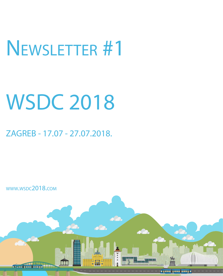# Newsletter #1

# WSDC 2018

### ZAGREB - 17.07 - 27.07.2018.

www.wsdc2018.com

*Oznat Temper* 

 $\overline{\mathbf{C}}$ 

THE STATE OF THE STATE OF THE STATE OF THE STATE OF THE STATE OF THE STATE OF THE STATE OF THE STATE OF THE STATE OF THE STATE OF THE STATE OF THE STATE OF THE STATE OF THE STATE OF THE STATE OF THE STATE OF THE STATE OF T

<del>Wanana 700 wasan</del>

da.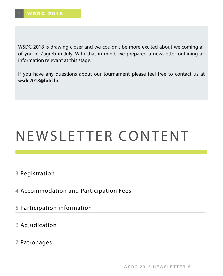WSDC 2018 is drawing closer and we couldn't be more excited about welcoming all of you in Zagreb in July. With that in mind, we prepared a newsletter outlining all information relevant at this stage.

If you have any questions about our tournament please feel free to contact us at wsdc2018@hdd.hr.

## NEWSLETTER CONTENT

3 Registration

I

4 Accommodation and Participation Fees

5 Participation information

6 Adjudication

7 Patronages

WSDC 2018 NEWSLETTER #1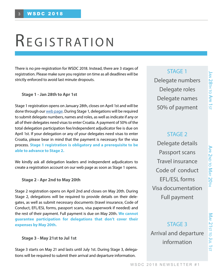Apr 2nd

to  $\leq$ 

ay 20th

# REGISTRATION

There is no pre-registration for WSDC 2018. Instead, there are 3 stages of registration. Please make sure you register on time as all deadlines will be strictly enforced to avoid last minute dropouts.

#### **Stage 1 - Jan 28th to Apr 1st**

Stage 1 registration opens on January 28th, closes on April 1st and will be done through our [web page.](http://wsdc2018.com/) During Stage 1, delegations will be required to submit delegate numbers, names and roles, as well as indicate if any or all of their delegates need visas to enter Croatia. A payment of 50% of the total delegation participation fee/independent adjudicator fee is due on April 1st. If your delegation or any of your delegates need visas to enter Croatia, please bear in mind that the payment is necessary for the visa process. **Stage 1 registration is obligatory and a prerequisite to be able to advance to Stage 2.** 

We kindly ask all delegation leaders and independent adjudicators to create a registration account on our web page as soon as Stage 1 opens.

#### **Stage 2 - Apr 2nd to May 20th**

Stage 2 registration opens on April 2nd and closes on May 20th. During Stage 2, delegations will be required to provide details on their delegates, as well as submit necessary documents (travel insurance, Code of Conduct, EFL/ESL forms, passport scans, visa paperwork if needed) and the rest of their payment. Full payment is due on May 20th. **We cannot guarantee participation for delegations that don't cover their expenses by May 20th.** 

#### **Stage 3 - May 21st to Jul 1st**

Stage 3 starts on May 21 and lasts until July 1st. During Stage 3, delegations will be required to submit their arrival and departure information.

#### STAGE 1

Delegate numbers Delegate roles Delegate names 50% of payment

#### STAGE 2

Delegate details Passport scans Travel insurance Code of conduct EFL/ESL forms Visa documentation Full payment

STAGE 3 Arrival and departure information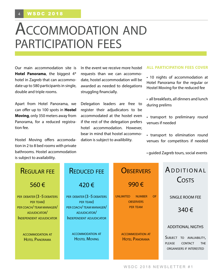## Accommodation and participation fees

Our main accommodation site is **Hotel Panorama**, the biggest 4\* hotel in Zagreb that can accommodate up to 580 participants in single, double and triple rooms.

Apart from Hotel Panorama, we can offer up to 100 spots in **Hostel Moving**, only 350 meters away from Panorama, for a reduced registration fee.

Hostel Moving offers accomodation in 2 to 8 bed rooms with private bathrooms. Hostel accommodation is subject to availability.

In the event we receive more hostel requests than we can accommodate, hostel accommodation will be awarded as needed to delegations struggling financially.

Delegation leaders are free to register their adjudicators to be accommodated at the hostel even if the rest of the delegation prefers hotel accommodation. However, bear in mind that hostel accommodation is subject to availibility.

#### **ALL PARTICIPATION FEES COVER**

• 10 nights of accommodation at Hotel Panorama for the regular or Hostel Moving for the reduced fee

• all breakfasts, all dinners and lunch during prelims

• transport to preliminary round venues if needed

• transport to elimination round venues for competitors if needed

• guided Zagreb tours, social events

| <b>REGULAR FEE</b>                               | <b>REDUCED FEE</b>                              | <b>OBSERVERS</b>                                                   | ADDITIONAL<br>COSTS                                                                                   |
|--------------------------------------------------|-------------------------------------------------|--------------------------------------------------------------------|-------------------------------------------------------------------------------------------------------|
| 560€                                             | 420€                                            | 990€                                                               |                                                                                                       |
| PER DEBATER (3 - 5 DEBATERS<br>PER TEAM)         | PER DEBATER (3 - 5 DEBATERS<br>PER TEAM)        | <b>UNLIMITED</b><br><b>NUMBER</b><br><b>OF</b><br><b>OBSERVERS</b> | <b>SINGLE ROOM FEE</b>                                                                                |
| PER COACH/ TEAM MANAGER/<br>ADJUDICATOR/         | PER COACH/TEAM MANAGER/<br>ADJUDICATOR/         | <b>PER TEAM</b>                                                    | 340€                                                                                                  |
| <b>INDEPENDENT ADJUDICATOR</b>                   | <b>INDEPENDENT ADJUDICATOR</b>                  |                                                                    |                                                                                                       |
|                                                  |                                                 |                                                                    | <b>ADDITIONAL NIGTHS</b>                                                                              |
| <b>ACCOMMODATION AT</b><br><b>HOTEL PANORAMA</b> | <b>ACCOMMODATION AT</b><br><b>HOSTEL MOVING</b> | <b>ACCOMMODATION AT</b><br><b>HOTEL PANORAMA</b>                   | SUBJECT TO AVALIABILITY,<br><b>PLEASE</b><br><b>CONTACT</b><br><b>THE</b><br>ORGANISERS IF INTERESTED |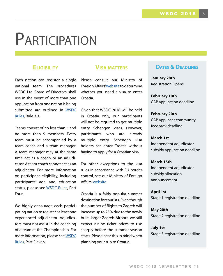# **PARTICIPATION**

#### **Eligibility**

Each nation can register a single national team. The procedures WSDC Ltd Board of Directors shall use in the event of more than one application from one nation is being submitted are outlined in [WSDC](http://wsdc2018.com/wp-content/uploads/sites/3/2017/12/WSDC_Debate_Rules_U_2017.pdf) [Rules](http://wsdc2018.com/wp-content/uploads/sites/3/2017/12/WSDC_Debate_Rules_U_2017.pdf), Rule 3.3.

Teams consist of no less than 3 and no more than 5 members. Every team must be accompanied by a team coach and a team manager. A team manager may at the same time act as a coach or an adjudicator. A team coach cannot act as an adjudicator. For more information on participant eligibility, including participants' age and education status, please see [WSDC Rules,](http://wsdc2018.com/wp-content/uploads/sites/3/2017/12/WSDC_Debate_Rules_U_2017.pdf) Part Four.

We highly encourage each participating nation to register at least one experienced adjudicator. Adjudicators must not assist in the coaching of a team at the Championship. For more information, please see [WSDC](http://wsdc2018.com/wp-content/uploads/sites/3/2017/12/WSDC_Debate_Rules_U_2017.pdf) [Rules](http://wsdc2018.com/wp-content/uploads/sites/3/2017/12/WSDC_Debate_Rules_U_2017.pdf), Part Eleven.

#### **Visa matters**

Please consult our Ministry of Foreign Affairs' [website](http://www.mvep.hr/en/consular-information/visas/visa-requirements-overview/) to determine whether you need a visa to enter Croatia.

Given that WSDC 2018 will be held in Croatia only, our participants will not be required to get multiple entry Schengen visas. However, participants who are already multiple entry Schengen visa holders can enter Croatia without having to apply for a Croatian visa.

For other exceptions to the visa rules in accordance with EU border control, see our Ministry of Foreign Affairs' [website.](http://www.mvep.hr/en/consular-information/visas/visa-requirements-overview/)

Croatia is a fairly popular summer destination for tourists. Even though the number of flights to Zagreb will increase up to 25% due to the newly built, larger Zagreb Airport, we still expect airline ticket prices to rise sharply before the summer season starts. Please bear this in mind when planning your trip to Croatia.

#### **DATES & DEADLINES**

**January 28th** Registration Opens

**February 10th** CAP application deadline

**February 20th** CAP applicant community feedback deadline

**March 1st** Independent adjudicator subsidy application deadline

**March 15th** Independent adjudicator subsidy allocation announcement

**April 1st** Stage 1 registration deadline

**May 20th** Stage 2 registration deadline

**July 1st** Stage 3 registration deadline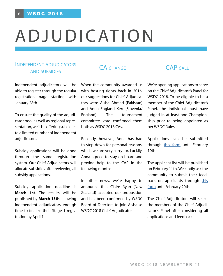### ADJUDICATION

#### Independent adjudicators and subsidies

Independent adjudicators will be able to register through the regular registration page starting with January 28th.

To ensure the quality of the adjudicator pool as well as regional representation, we'll be offering subsidies to a limited number of independent adjudicators.

Subsidy applications will be done through the same registration system. Our Chief Adjudicators will allocate subsidies after reviewing all subsidy applications.

Subsidy application deadline is **March 1st**. The results will be published by **March 15th**, allowing independent adjudicators enough time to finalize their Stage 1 registration by April 1st.

#### CA CHANGE CAP CALL

When the community awarded us with hosting rights back in 2016, our suggestions for Chief Adjudicators were Aisha Ahmad (Pakistan) and Anna England Kerr (Slovenia/ England). The tournament committee vote confirmed them both as WSDC 2018 CAs.

Recently, however, Anna has had to step down for personal reasons, which we are very sorry for. Luckily, Anna agreed to stay on board and provide help to the CAP in the following months.

In other news, we're happy to announce that Claire Ryan (New Zealand) accepted our proposition and has been confirmed by WSDC Board of Directors to join Aisha as WSDC 2018 Chief Adjudicator.

We're opening applications to serve on the Chief Adjudicator's Panel for WSDC 2018. To be eligible to be a member of the Chief Adjudicator's Panel, the individual must have judged in at least one Championship prior to being appointed as per WSDC Rules.

Applications can be submitted through [this form](https://docs.google.com/forms/d/e/1FAIpQLSfK77mM0WMAjmoLJ_Y_cCd8ye6uPHyPJfFlvc5FbtG2ZFOS0w/viewform) until February 10th.

The applicant list will be published on February 11th. We kindly ask the community to submit their feedback on applicants through [this](https://docs.google.com/forms/d/e/1FAIpQLSe5WPNOw4teLrmG8P_99yDAfZ_NTXn7oJDuvhCQ2HWP2WWnRg/viewform) [form](https://docs.google.com/forms/d/e/1FAIpQLSe5WPNOw4teLrmG8P_99yDAfZ_NTXn7oJDuvhCQ2HWP2WWnRg/viewform) until February 20th.

The Chief Adjudicators will select the members of the Chief Adjudicator's Panel after considering all applications and feedback.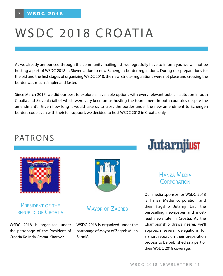## WSDC 2018 CROATIA

As we already announced through the community mailing list, we regretfully have to inform you we will not be hosting a part of WSDC 2018 in Slovenia due to new Schengen border regulations. During our preparations for the bid and the first stages of organizing WSDC 2018, the new, stricter regulations were not place and crossing the border was much simpler and faster.

Since March 2017, we did our best to explore all available options with every relevant public institution in both Croatia and Slovenia (all of which were very keen on us hosting the tournament in both countries despite the amendment). Given how long it would take us to cross the border under the new amendment to Schengen borders code even with their full support, we decided to host WSDC 2018 in Croatia only.

#### PATRONS



#### PRESIDENT OF THE republic of Croatia

WSDC 2018 is organized under the patronage of the President of Croatia Kolinda Grabar-Kitarović.



#### MAYOR OF ZAGREB

WSDC 2018 is organized under the patronage of Mayor of Zagreb Milan Bandić.



#### Hanza Media **CORPORATION**

Our media sponsor for WSDC 2018 is Hanza Media corporation and their flagship Jutarnji List, the best-selling newspaper and mostread news site in Croatia. As the Championship draws nearer, we'll approach several delegations for a short report on their preparation process to be published as a part of their WSDC 2018 coverage.